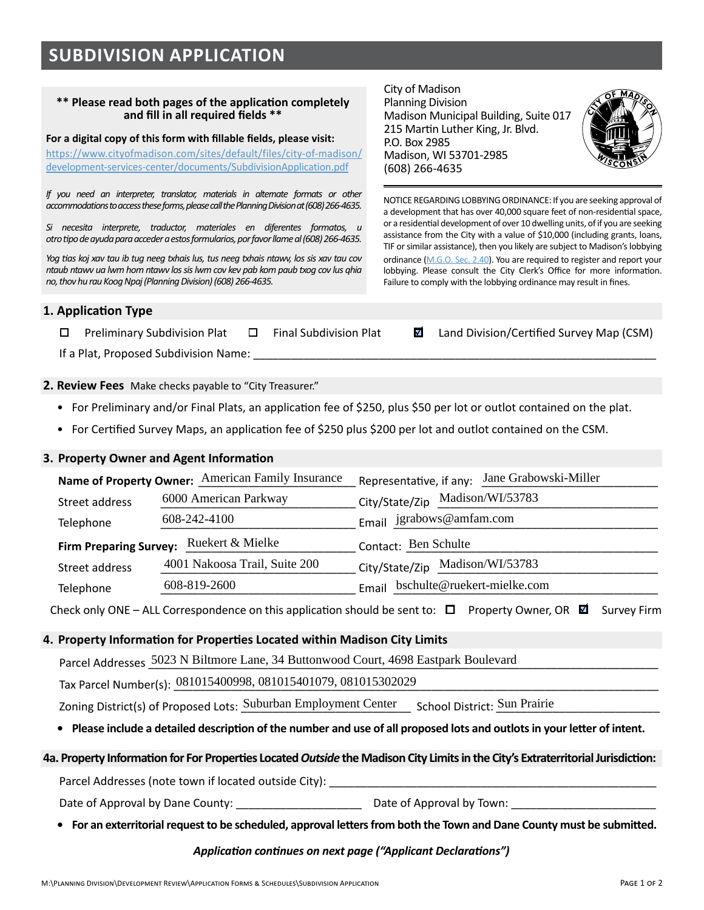# **SUBDIVISION APPLICATION**

#### **\*\* Please read both pages of the application completely and fill in all required fields \*\***

#### **For a digital copy of this form with fillable fields, please visit:**

[https://www.cityofmadison.com/sites/default/files/city-of-madison/](https://www.cityofmadison.com/sites/default/files/city-of-madison/development-services-center/documents/SubdivisionApplication.pdf) [development-services-center/documents/SubdivisionApplication.pdf](https://www.cityofmadison.com/sites/default/files/city-of-madison/development-services-center/documents/SubdivisionApplication.pdf)

*If you need an interpreter, translator, materials in alternate formats or other accommodations to access these forms, please call the Planning Division at (608) 266-4635.* 

*Si necesita interprete, traductor, materiales en diferentes formatos, u otro tipo de ayuda para acceder a estos formularios, por favor llame al (608) 266-4635.*

*Yog tias koj xav tau ib tug neeg txhais lus, tus neeg txhais ntawv, los sis xav tau cov ntaub ntawv ua lwm hom ntawv los sis lwm cov kev pab kom paub txog cov lus qhia no, thov hu rau Koog Npaj (Planning Division) (608) 266-4635.*

City of Madison Planning Division Madison Municipal Building, Suite 017 215 Martin Luther King, Jr. Blvd. P.O. Box 2985 Madison, WI 53701-2985 (608) 266-4635



NOTICE REGARDING LOBBYING ORDINANCE: If you are seeking approval of a development that has over 40,000 square feet of non-residential space, or a residential development of over 10 dwelling units, of if you are seeking assistance from the City with a value of \$10,000 (including grants, loans, TIF or similar assistance), then you likely are subject to Madison's lobbying ordinance (M.G.O. [Sec. 2.40](https://library.municode.com/wi/madison/codes/code_of_ordinances?nodeId=COORMAWIVOICH1--10_CH2STRUGOCOCO_2.40LORE)). You are required to register and report your lobbying. Please consult the City Clerk's Office for more information. Failure to comply with the lobbying ordinance may result in fines.

#### **1. Application Type**

 $\Box$  Preliminary Subdivision Plat  $\Box$  Final Subdivision Plat  $\Box$  Land Division/Certified Survey Map (CSM)

If a Plat, Proposed Subdivision Name:

#### **2. Review Fees** Make checks payable to "City Treasurer."

- For Preliminary and/or Final Plats, an application fee of \$250, plus \$50 per lot or outlot contained on the plat.
- For Certified Survey Maps, an application fee of \$250 plus \$200 per lot and outlot contained on the CSM.

### **3. Property Owner and Agent Information**

|                | Name of Property Owner: American Family Insurance                                   | Representative, if any: Jane Grabowski-Miller                                                                                          |  |
|----------------|-------------------------------------------------------------------------------------|----------------------------------------------------------------------------------------------------------------------------------------|--|
| Street address | 6000 American Parkway                                                               | City/State/Zip Madison/WI/53783                                                                                                        |  |
| Telephone      | 608-242-4100                                                                        | Email jgrabows@amfam.com                                                                                                               |  |
|                | Firm Preparing Survey: Ruekert & Mielke                                             | Contact: Ben Schulte                                                                                                                   |  |
| Street address | 4001 Nakoosa Trail, Suite 200                                                       | City/State/Zip Madison/WI/53783                                                                                                        |  |
| Telephone      | 608-819-2600                                                                        | Email bschulte@ruekert-mielke.com                                                                                                      |  |
|                |                                                                                     | Check only ONE – ALL Correspondence on this application should be sent to: $\Box$ Property Owner, OR $\boxtimes$<br><b>Survey Firm</b> |  |
|                | Property Information for Properties Located within Madison City Limits              |                                                                                                                                        |  |
|                | Parcel Addresses 5023 N Biltmore Lane, 34 Buttonwood Court, 4698 Eastpark Boulevard |                                                                                                                                        |  |
|                | Tax Parcel Number(s): 081015400998, 081015401079, 081015302029                      |                                                                                                                                        |  |
|                | Zoning District(s) of Proposed Lots: Suburban Employment Center                     | School District: Sun Prairie                                                                                                           |  |

#### **4. Property Information for Properties Located within Madison City Limits**

Zoning District(s) of Proposed Lots: Suburban Employment Center School District: Sun Prairie

#### **• Please include a detailed description of the number and use of all proposed lots and outlots in your letter of intent.**

#### **4a. Property Information for For Properties Located** *Outside* **the Madison City Limits in the City's Extraterritorial Jurisdiction:**

Parcel Addresses (note town if located outside City): \_\_\_\_\_\_\_\_\_\_\_\_\_\_\_\_\_\_\_\_\_\_\_\_\_\_

Date of Approval by Dane County: \_\_\_\_\_\_\_\_\_\_\_\_\_\_\_\_\_\_\_\_ Date of Approval by Town: \_\_\_\_\_\_\_\_\_\_\_\_\_\_\_\_\_\_\_\_\_\_\_

**• For an exterritorial request to be scheduled, approval letters from both the Town and Dane County must be submitted.**

#### *Application continues on next page ("Applicant Declarations")*